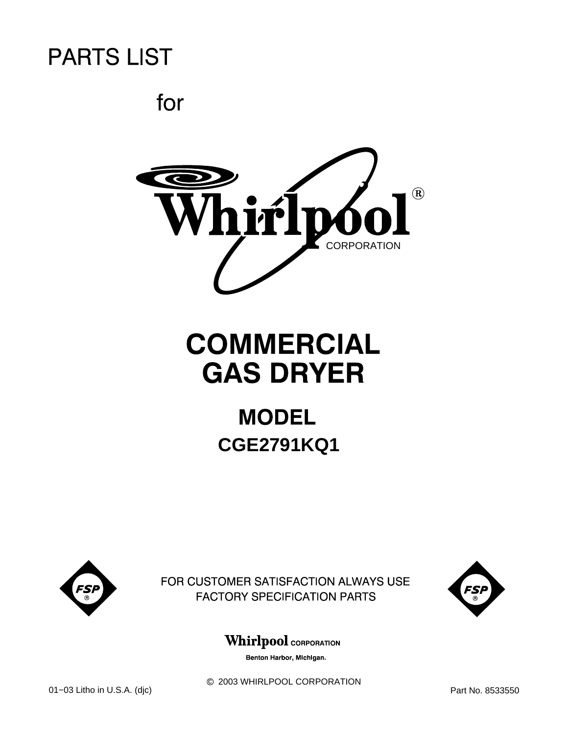for



# **COMMERCIAL GAS DRYER**

# **MODEL CGE2791KQ1**



FOR CUSTOMER SATISFACTION ALWAYS USE **FACTORY SPECIFICATION PARTS** 



### **Whirlpool** CORPORATION

Benton Harbor, Michigan.

 $@$  2003 WHIRLPOOL CORPORATION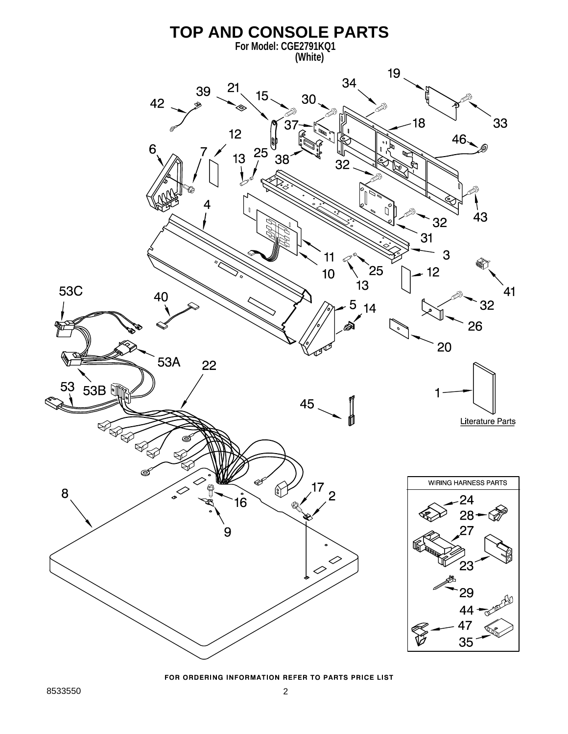

FOR ORDERING INFORMATION REFER TO PARTS PRICE LIST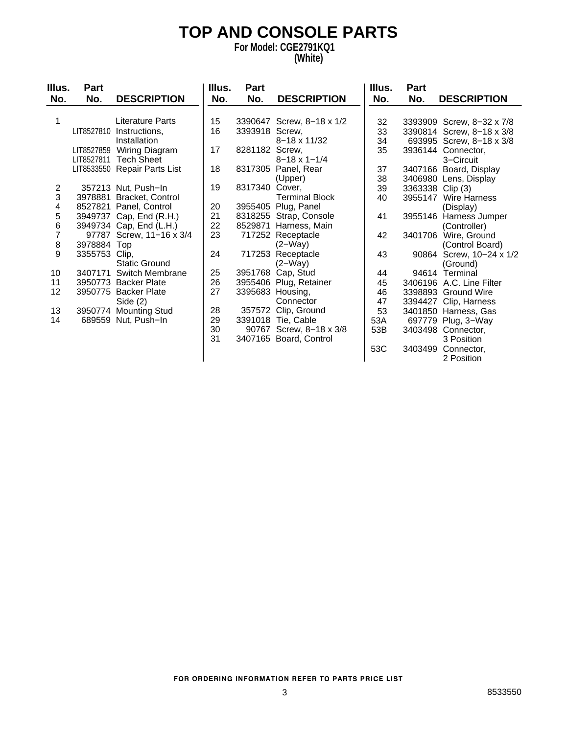# **TOP AND CONSOLE PARTS**

#### **For Model: CGE2791KQ1 (White)**

| Illus.         | Part          |                              | Illus. | Part           |                           | Illus. | Part             |                           |
|----------------|---------------|------------------------------|--------|----------------|---------------------------|--------|------------------|---------------------------|
| No.            | No.           | <b>DESCRIPTION</b>           | No.    | No.            | <b>DESCRIPTION</b>        | No.    | No.              | <b>DESCRIPTION</b>        |
|                |               |                              |        |                |                           |        |                  |                           |
|                |               | Literature Parts             | 15     |                | 3390647 Screw, 8-18 x 1/2 | 32     |                  | 3393909 Screw, 8-32 x 7/8 |
|                |               | LIT8527810 Instructions,     | 16     | 3393918 Screw, |                           | 33     |                  | 3390814 Screw, 8-18 x 3/8 |
|                |               | Installation                 |        |                | $8 - 18 \times 11/32$     | 34     |                  | 693995 Screw, 8-18 x 3/8  |
|                |               | LIT8527859 Wiring Diagram    | 17     | 8281182 Screw, |                           | 35     |                  | 3936144 Connector,        |
|                |               | LIT8527811 Tech Sheet        |        |                | $8 - 18 \times 1 - 1/4$   |        |                  | 3-Circuit                 |
|                |               | LIT8533550 Repair Parts List | 18     |                | 8317305 Panel, Rear       | 37     |                  | 3407166 Board, Display    |
|                |               |                              |        |                | (Upper)                   | 38     |                  | 3406980 Lens, Display     |
| $\overline{c}$ |               | 357213 Nut, Push-In          | 19     | 8317340        | Cover.                    | 39     | 3363338 Clip (3) |                           |
| 3              |               | 3978881 Bracket, Control     |        |                | <b>Terminal Block</b>     | 40     | 3955147          | <b>Wire Harness</b>       |
| 4              |               | 8527821 Panel, Control       | 20     |                | 3955405 Plug, Panel       |        |                  | (Display)                 |
| 5              |               | 3949737 Cap, End (R.H.)      | 21     |                | 8318255 Strap, Console    | 41     |                  | 3955146 Harness Jumper    |
| 6              |               | 3949734 Cap, End (L.H.)      | 22     |                | 8529871 Harness, Main     |        |                  | (Controller)              |
| $\overline{7}$ |               | 97787 Screw, 11-16 x 3/4     | 23     |                | 717252 Receptacle         | 42     | 3401706          | Wire, Ground              |
| 8              | 3978884 Top   |                              |        |                | $(2-Way)$                 |        |                  | (Control Board)           |
| 9              | 3355753 Clip, |                              | 24     |                | 717253 Receptacle         | 43     | 90864            | Screw, 10-24 x 1/2        |
|                |               | <b>Static Ground</b>         |        |                | $(2-Way)$                 |        |                  | (Ground)                  |
| 10             |               | 3407171 Switch Membrane      | 25     |                | 3951768 Cap, Stud         | 44     |                  | 94614 Terminal            |
| 11             |               | 3950773 Backer Plate         | 26     |                | 3955406 Plug, Retainer    | 45     |                  | 3406196 A.C. Line Filter  |
| 12             |               | 3950775 Backer Plate         | 27     |                | 3395683 Housing,          | 46     |                  | 3398893 Ground Wire       |
|                |               | Side $(2)$                   |        |                | Connector                 | 47     |                  | 3394427 Clip, Harness     |
| 13             |               | 3950774 Mounting Stud        | 28     |                | 357572 Clip, Ground       | 53     |                  | 3401850 Harness, Gas      |
| 14             |               | 689559 Nut, Push-In          | 29     |                | 3391018 Tie, Cable        | 53A    |                  | 697779 Plug, 3-Way        |
|                |               |                              | 30     |                | 90767 Screw, 8-18 x 3/8   | 53B    |                  | 3403498 Connector,        |
|                |               |                              | 31     |                | 3407165 Board, Control    |        |                  | 3 Position                |
|                |               |                              |        |                |                           | 53C    | 3403499          | Connector,                |
|                |               |                              |        |                |                           |        |                  | 2 Position                |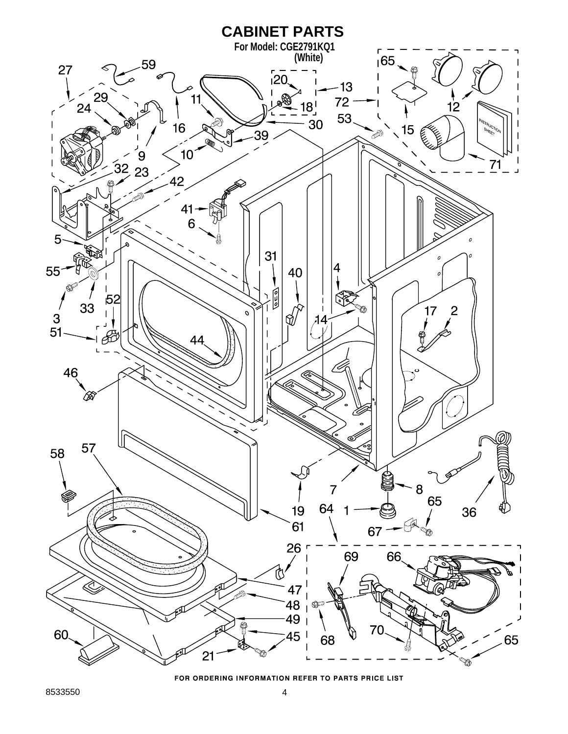

FOR ORDERING INFORMATION REFER TO PARTS PRICE LIST

8533550 4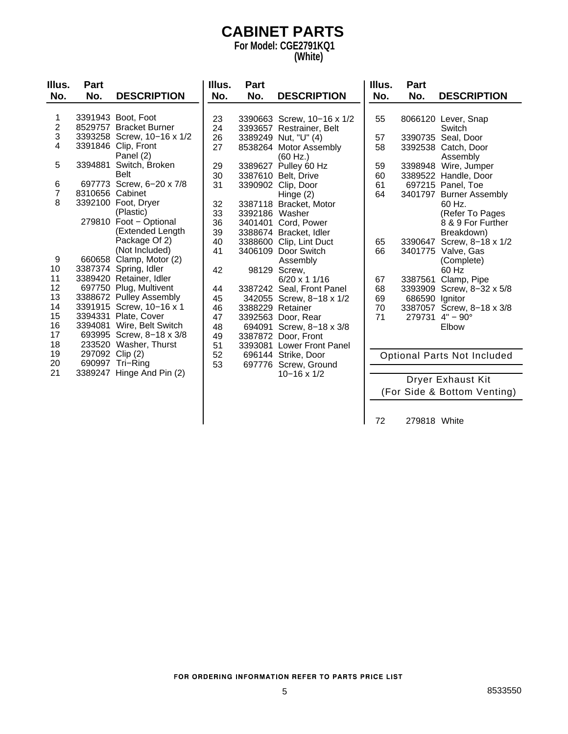### **CABINET PARTS For Model: CGE2791KQ1**

#### **(White)**

| Illus.         | Part            |                                      | Illus. | Part           |                            | Illus. | Part           |                                    |
|----------------|-----------------|--------------------------------------|--------|----------------|----------------------------|--------|----------------|------------------------------------|
| No.            | No.             | <b>DESCRIPTION</b>                   | No.    | No.            | <b>DESCRIPTION</b>         | No.    | No.            | <b>DESCRIPTION</b>                 |
|                |                 |                                      |        |                |                            |        |                |                                    |
| 1              |                 | 3391943 Boot, Foot                   | 23     |                | 3390663 Screw, 10-16 x 1/2 | 55     |                | 8066120 Lever, Snap                |
| $\overline{c}$ |                 | 8529757 Bracket Burner               | 24     |                | 3393657 Restrainer, Belt   |        |                | Switch                             |
| 3              |                 | 3393258 Screw, 10-16 x 1/2           | 26     |                | 3389249 Nut, "U" (4)       | 57     |                | 3390735 Seal, Door                 |
| 4              |                 | 3391846 Clip, Front                  | 27     |                | 8538264 Motor Assembly     | 58     |                | 3392538 Catch, Door                |
|                |                 | Panel (2)                            |        |                | (60 Hz.)                   |        |                | Assembly                           |
| 5              | 3394881         | Switch, Broken                       | 29     | 3389627        | Pulley 60 Hz               | 59     | 3398948        | Wire, Jumper                       |
|                |                 | Belt                                 | 30     |                | 3387610 Belt, Drive        | 60     |                | 3389522 Handle, Door               |
| 6              |                 | 697773 Screw, 6-20 x 7/8             | 31     |                | 3390902 Clip, Door         | 61     |                | 697215 Panel, Toe                  |
| $\overline{7}$ | 8310656 Cabinet |                                      |        |                | Hinge $(2)$                | 64     |                | 3401797 Burner Assembly            |
| 8              |                 | 3392100 Foot, Dryer                  | 32     |                | 3387118 Bracket, Motor     |        |                | 60 Hz.                             |
|                |                 | (Plastic)                            | 33     | 3392186 Washer |                            |        |                | (Refer To Pages                    |
|                |                 | 279810 Foot - Optional               | 36     |                | 3401401 Cord, Power        |        |                | 8 & 9 For Further                  |
|                |                 | (Extended Length                     | 39     |                | 3388674 Bracket, Idler     |        |                | Breakdown)                         |
|                |                 | Package Of 2)                        | 40     |                | 3388600 Clip, Lint Duct    | 65     | 3390647        | Screw, 8-18 x 1/2                  |
|                |                 | (Not Included)                       | 41     |                | 3406109 Door Switch        | 66     |                | 3401775 Valve, Gas                 |
| 9              |                 | 660658 Clamp, Motor (2)              |        |                | Assembly                   |        |                | (Complete)                         |
| 10             |                 | 3387374 Spring, Idler                | 42     | 98129          | Screw,                     |        |                | 60 Hz                              |
| 11             |                 | 3389420 Retainer, Idler              |        |                | 6/20 x 1 1/16              | 67     | 3387561        | Clamp, Pipe                        |
| 12             |                 | 697750 Plug, Multivent               | 44     |                | 3387242 Seal, Front Panel  | 68     | 3393909        | Screw, 8-32 x 5/8                  |
| 13             |                 | 3388672 Pulley Assembly              | 45     |                | 342055 Screw, 8-18 x 1/2   | 69     | 686590 Ignitor |                                    |
| 14             |                 | 3391915 Screw, 10-16 x 1             | 46     |                | 3388229 Retainer           | 70     |                | 3387057 Screw, 8-18 x 3/8          |
| 15             |                 | 3394331 Plate, Cover                 | 47     |                | 3392563 Door, Rear         | 71     |                | 279731 $4" - 90°$                  |
| 16             |                 | 3394081 Wire, Belt Switch            | 48     |                | 694091 Screw, 8-18 x 3/8   |        |                | Elbow                              |
| 17<br>18       |                 | 693995 Screw, 8-18 x 3/8             | 49     |                | 3387872 Door, Front        |        |                |                                    |
| 19             |                 | 233520 Washer, Thurst                | 51     |                | 3393081 Lower Front Panel  |        |                |                                    |
| 20             | 297092 Clip (2) |                                      | 52     |                | 696144 Strike, Door        |        |                | <b>Optional Parts Not Included</b> |
| 21             |                 | 690997 Tri-Ring<br>Hinge And Pin (2) | 53     |                | 697776 Screw, Ground       |        |                |                                    |
|                | 3389247         |                                      |        |                | $10 - 16 \times 1/2$       |        |                | <b>Dryer Exhaust Kit</b>           |
|                |                 |                                      |        |                |                            |        |                |                                    |

(For Side & Bottom Venting)

72 279818 White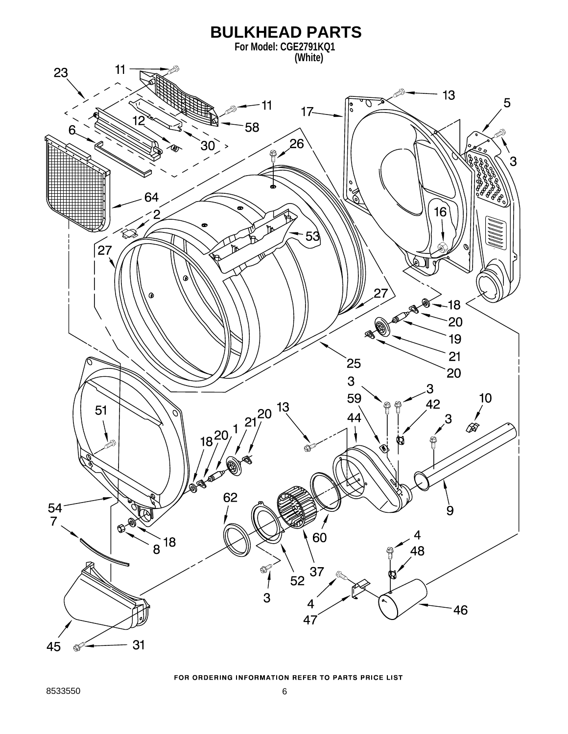

#### FOR ORDERING INFORMATION REFER TO PARTS PRICE LIST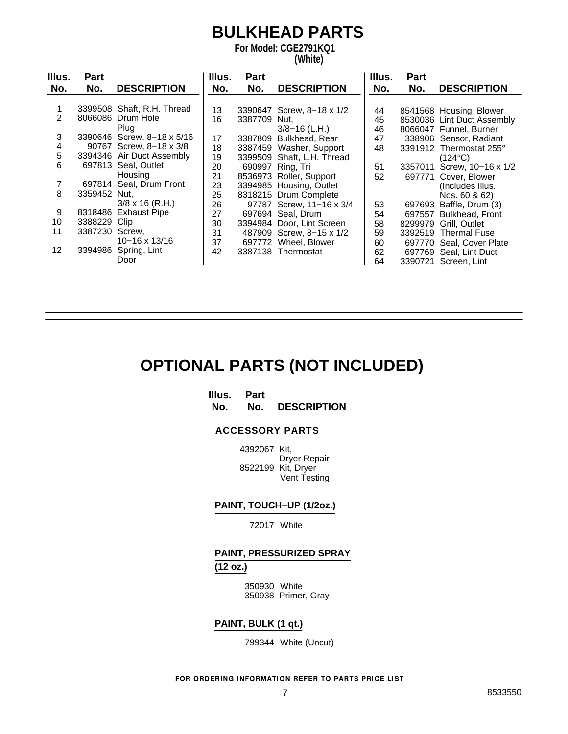## **BULKHEAD PARTS**

**For Model: CGE2791KQ1**

#### **(White)**

| Illus.            | <b>Part</b>    |                            | Illus. | Part         |                            | Illus. | <b>Part</b> |                            |
|-------------------|----------------|----------------------------|--------|--------------|----------------------------|--------|-------------|----------------------------|
| No.               | No.            | <b>DESCRIPTION</b>         | No.    | No.          | <b>DESCRIPTION</b>         | No.    | No.         | <b>DESCRIPTION</b>         |
|                   |                |                            |        |              |                            |        |             |                            |
|                   |                | 3399508 Shaft, R.H. Thread | 13     |              | 3390647 Screw, 8-18 x 1/2  | 44     |             | 8541568 Housing, Blower    |
| 2                 |                | 8066086 Drum Hole          | 16     | 3387709 Nut. |                            | 45     |             | 8530036 Lint Duct Assembly |
|                   |                | Plug                       |        |              | $3/8 - 16$ (L.H.)          | 46     |             | 8066047 Funnel, Burner     |
| 3                 |                | 3390646 Screw, 8-18 x 5/16 | 17     |              | 3387809 Bulkhead, Rear     | 47     |             | 338906 Sensor, Radiant     |
| 4                 |                | 90767 Screw, 8-18 x 3/8    | 18     |              | 3387459 Washer, Support    | 48     |             | 3391912 Thermostat 255°    |
| 5                 |                | 3394346 Air Duct Assembly  | 19     |              | 3399509 Shaft, L.H. Thread |        |             | $(124^{\circ}C)$           |
| 6                 |                | 697813 Seal, Outlet        | 20     |              | 690997 Ring, Tri           | 51     |             | 3357011 Screw, 10-16 x 1/2 |
|                   |                | Housing                    | 21     |              | 8536973 Roller, Support    | 52     |             | 697771 Cover, Blower       |
| 7                 |                | 697814 Seal, Drum Front    | 23     |              | 3394985 Housing, Outlet    |        |             | (Includes Illus.           |
| 8                 | 3359452 Nut,   |                            | 25     |              | 8318215 Drum Complete      |        |             | Nos. 60 & 62)              |
|                   |                | $3/8 \times 16$ (R.H.)     | 26     |              | 97787 Screw, 11-16 x 3/4   | 53     |             | 697693 Baffle, Drum (3)    |
| 9                 |                | 8318486 Exhaust Pipe       | 27     |              | 697694 Seal, Drum          | 54     |             | 697557 Bulkhead, Front     |
| 10                | 3388229 Clip   |                            | 30     |              | 3394984 Door, Lint Screen  | 58     |             | 8299979 Grill, Outlet      |
| 11                | 3387230 Screw. |                            | 31     |              | 487909 Screw, 8-15 x 1/2   | 59     |             | 3392519 Thermal Fuse       |
|                   |                | 10-16 x 13/16              | 37     |              | 697772 Wheel, Blower       | 60     |             | 697770 Seal, Cover Plate   |
| $12 \overline{ }$ |                | 3394986 Spring, Lint       | 42     |              | 3387138 Thermostat         | 62     |             | 697769 Seal, Lint Duct     |
|                   |                | Door                       |        |              |                            | 64     |             | 3390721 Screen, Lint       |

## **OPTIONAL PARTS (NOT INCLUDED)**

**Illus. Part**

**No. No. DESCRIPTION**

#### **ACCESSORY PARTS**

4392067 Kit, Dryer Repair 8522199 Kit, Dryer Vent Testing

### **PAINT, TOUCH−UP (1/2oz.)**

72017 White

### **PAINT, PRESSURIZED SPRAY (12 oz.)**

350930 White 350938 Primer, Gray

### **PAINT, BULK (1 qt.)**

799344 White (Uncut)

FOR ORDERING INFORMATION REFER TO PARTS PRICE LIST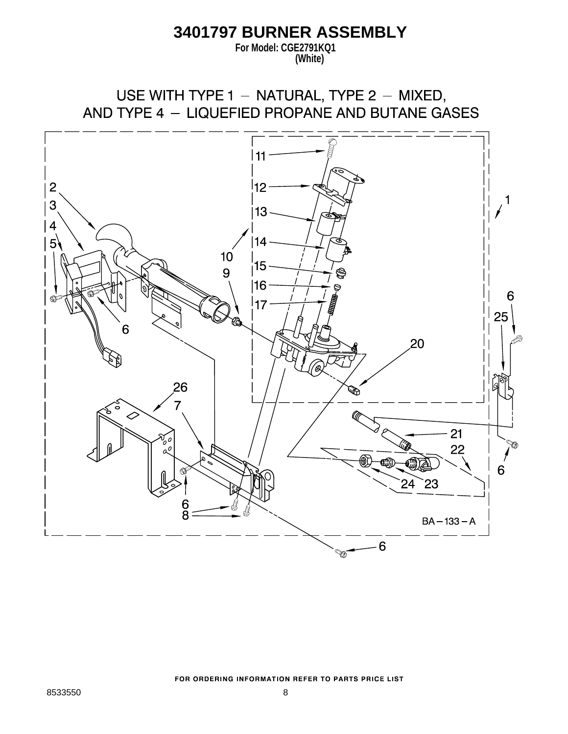### **3401797 BURNER ASSEMBLY**

**For Model: CGE2791KQ1 (White)**

USE WITH TYPE 1 - NATURAL, TYPE 2 - MIXED, AND TYPE 4 - LIQUEFIED PROPANE AND BUTANE GASES